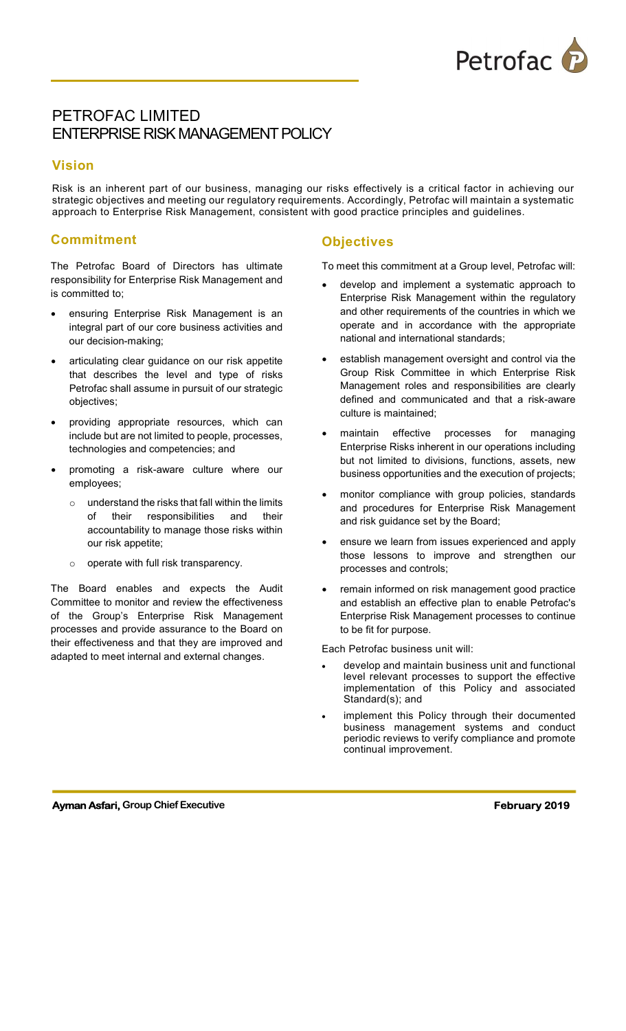

# PETROFAC LIMITED ENTERPRISE RISK MANAGEMENT POLICY

### Vision

Risk is an inherent part of our business, managing our risks effectively is a critical factor in achieving our strategic objectives and meeting our regulatory requirements. Accordingly, Petrofac will maintain a systematic approach to Enterprise Risk Management, consistent with good practice principles and guidelines.

### **Commitment**

The Petrofac Board of Directors has ultimate responsibility for Enterprise Risk Management and is committed to;

- ensuring Enterprise Risk Management is an integral part of our core business activities and our decision-making;
- articulating clear guidance on our risk appetite that describes the level and type of risks Petrofac shall assume in pursuit of our strategic objectives;
- providing appropriate resources, which can include but are not limited to people, processes, technologies and competencies; and
- promoting a risk-aware culture where our employees;
	- $\circ$  understand the risks that fall within the limits of their responsibilities and their accountability to manage those risks within our risk appetite;
	- o operate with full risk transparency.

The Board enables and expects the Audit Committee to monitor and review the effectiveness of the Group's Enterprise Risk Management processes and provide assurance to the Board on their effectiveness and that they are improved and adapted to meet internal and external changes.

# **Objectives**

To meet this commitment at a Group level, Petrofac will:

- develop and implement a systematic approach to Enterprise Risk Management within the regulatory and other requirements of the countries in which we operate and in accordance with the appropriate national and international standards;
- establish management oversight and control via the Group Risk Committee in which Enterprise Risk Management roles and responsibilities are clearly defined and communicated and that a risk-aware culture is maintained;
- maintain effective processes for managing Enterprise Risks inherent in our operations including but not limited to divisions, functions, assets, new business opportunities and the execution of projects;
- monitor compliance with group policies, standards and procedures for Enterprise Risk Management and risk guidance set by the Board;
- ensure we learn from issues experienced and apply those lessons to improve and strengthen our processes and controls;
- remain informed on risk management good practice and establish an effective plan to enable Petrofac's Enterprise Risk Management processes to continue to be fit for purpose.

Each Petrofac business unit will:

- develop and maintain business unit and functional level relevant processes to support the effective implementation of this Policy and associated Standard(s); and
- implement this Policy through their documented business management systems and conduct periodic reviews to verify compliance and promote continual improvement.

#### Ayman Asfari, Group Chief Executive February 2019